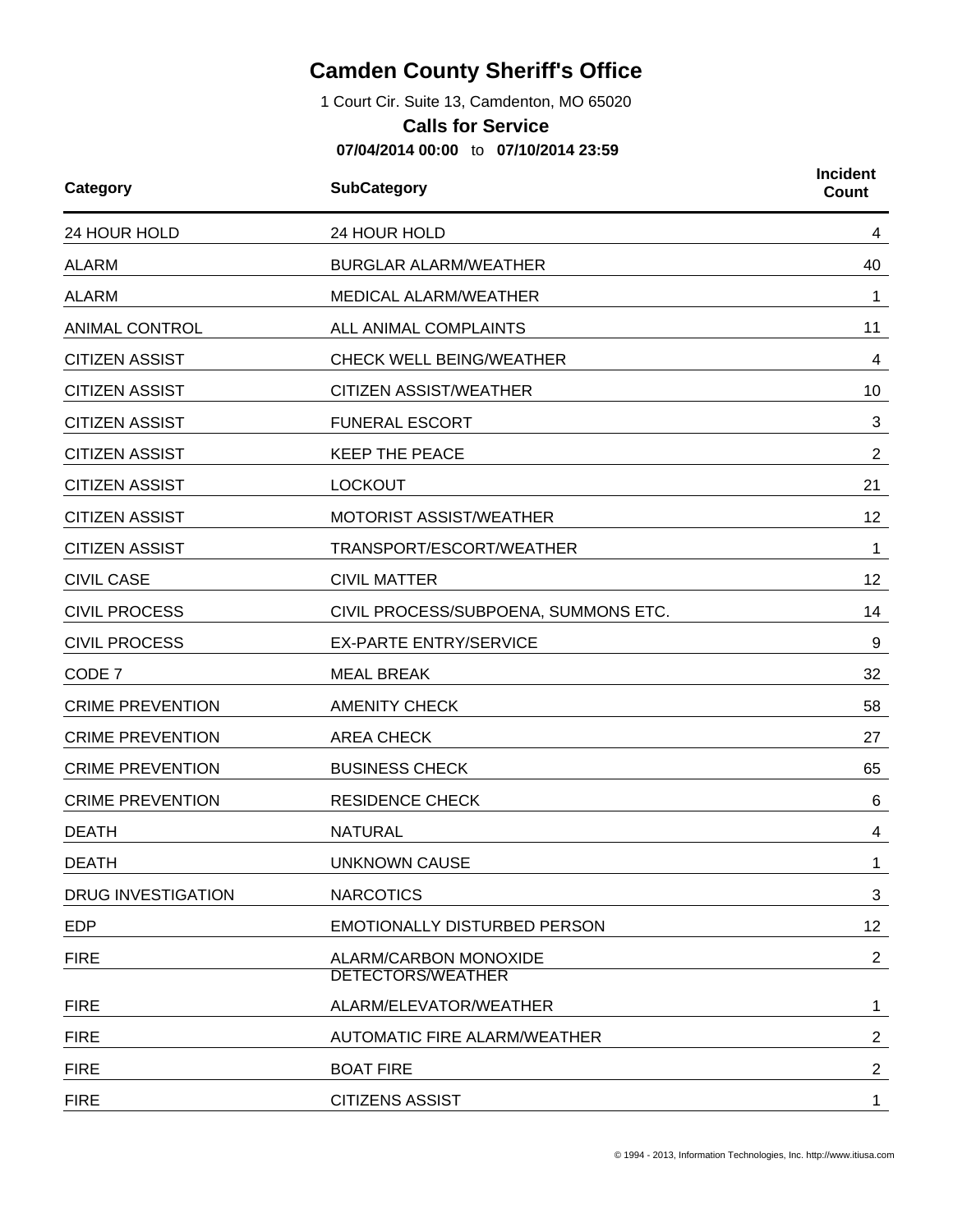## **Camden County Sheriff's Office**

1 Court Cir. Suite 13, Camdenton, MO 65020

## **Calls for Service**

**07/04/2014 00:00** to **07/10/2014 23:59**

| Category                  | <b>SubCategory</b>                         | <b>Incident</b><br><b>Count</b> |
|---------------------------|--------------------------------------------|---------------------------------|
| 24 HOUR HOLD              | 24 HOUR HOLD                               | 4                               |
| <b>ALARM</b>              | <b>BURGLAR ALARM/WEATHER</b>               | 40                              |
| <b>ALARM</b>              | <b>MEDICAL ALARM/WEATHER</b>               | 1                               |
| <b>ANIMAL CONTROL</b>     | ALL ANIMAL COMPLAINTS                      | 11                              |
| <b>CITIZEN ASSIST</b>     | <b>CHECK WELL BEING/WEATHER</b>            | 4                               |
| <b>CITIZEN ASSIST</b>     | <b>CITIZEN ASSIST/WEATHER</b>              | 10                              |
| <b>CITIZEN ASSIST</b>     | <b>FUNERAL ESCORT</b>                      | 3                               |
| <b>CITIZEN ASSIST</b>     | <b>KEEP THE PEACE</b>                      | $\overline{2}$                  |
| <b>CITIZEN ASSIST</b>     | <b>LOCKOUT</b>                             | 21                              |
| <b>CITIZEN ASSIST</b>     | MOTORIST ASSIST/WEATHER                    | 12                              |
| <b>CITIZEN ASSIST</b>     | TRANSPORT/ESCORT/WEATHER                   | 1                               |
| <b>CIVIL CASE</b>         | <b>CIVIL MATTER</b>                        | 12                              |
| <b>CIVIL PROCESS</b>      | CIVIL PROCESS/SUBPOENA, SUMMONS ETC.       | 14                              |
| <b>CIVIL PROCESS</b>      | <b>EX-PARTE ENTRY/SERVICE</b>              | 9                               |
| CODE 7                    | <b>MEAL BREAK</b>                          | 32                              |
| <b>CRIME PREVENTION</b>   | <b>AMENITY CHECK</b>                       | 58                              |
| <b>CRIME PREVENTION</b>   | <b>AREA CHECK</b>                          | 27                              |
| <b>CRIME PREVENTION</b>   | <b>BUSINESS CHECK</b>                      | 65                              |
| <b>CRIME PREVENTION</b>   | <b>RESIDENCE CHECK</b>                     | 6                               |
| <b>DEATH</b>              | <b>NATURAL</b>                             | 4                               |
| <b>DEATH</b>              | <b>UNKNOWN CAUSE</b>                       | 1                               |
| <b>DRUG INVESTIGATION</b> | <b>NARCOTICS</b>                           | 3                               |
| <b>EDP</b>                | <b>EMOTIONALLY DISTURBED PERSON</b>        | 12 <sub>2</sub>                 |
| <b>FIRE</b>               | ALARM/CARBON MONOXIDE<br>DETECTORS/WEATHER | $\overline{2}$                  |
| <b>FIRE</b>               | ALARM/ELEVATOR/WEATHER                     | 1                               |
| <b>FIRE</b>               | AUTOMATIC FIRE ALARM/WEATHER               | $\overline{a}$                  |
| <b>FIRE</b>               | <b>BOAT FIRE</b>                           | $\overline{2}$                  |
| <b>FIRE</b>               | <b>CITIZENS ASSIST</b>                     | $\mathbf 1$                     |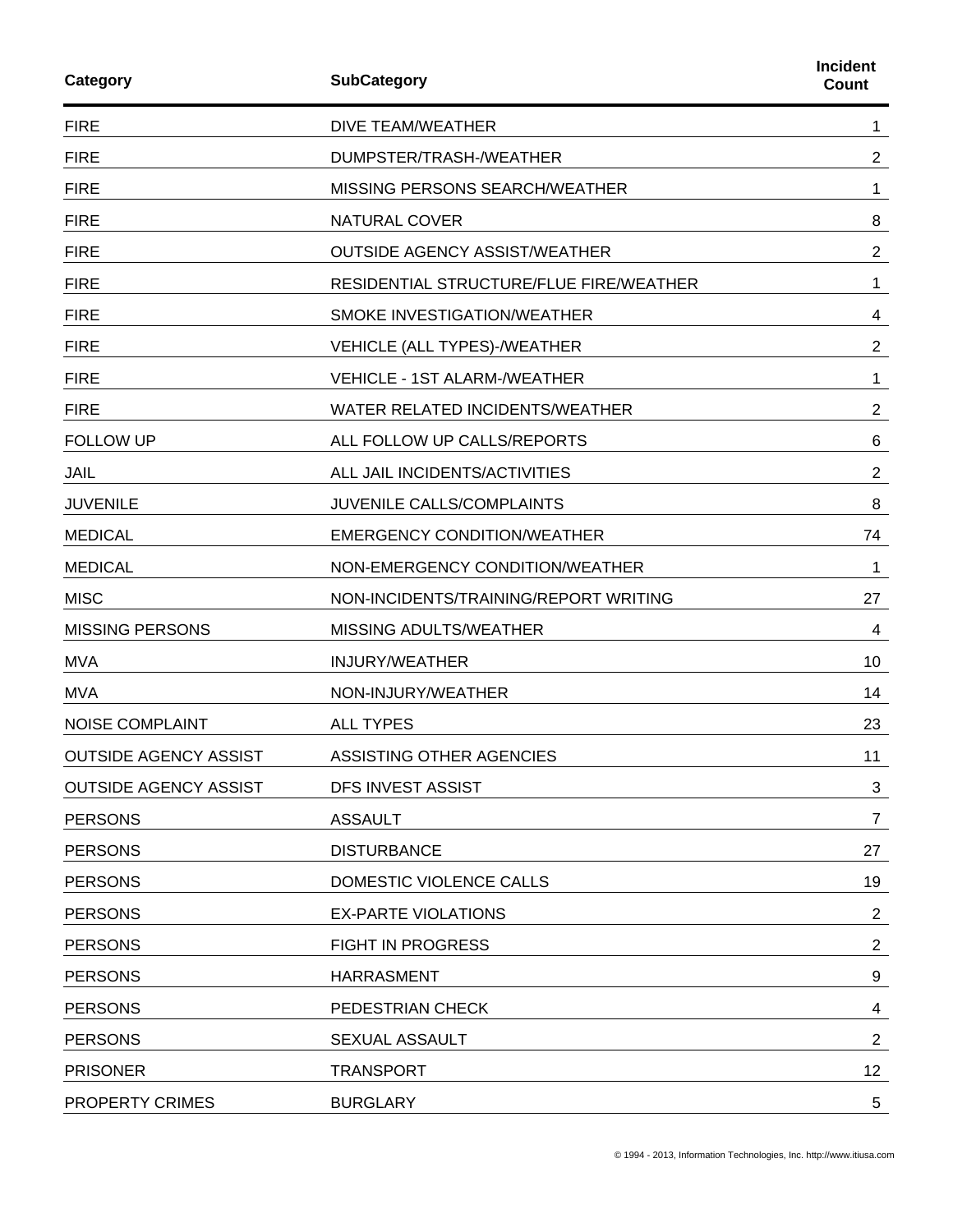| Category                     | <b>SubCategory</b>                      | Incident<br>Count |
|------------------------------|-----------------------------------------|-------------------|
| <b>FIRE</b>                  | <b>DIVE TEAM/WEATHER</b>                | 1                 |
| <b>FIRE</b>                  | DUMPSTER/TRASH-/WEATHER                 | $\overline{2}$    |
| <b>FIRE</b>                  | <b>MISSING PERSONS SEARCH/WEATHER</b>   | 1                 |
| <b>FIRE</b>                  | <b>NATURAL COVER</b>                    | 8                 |
| <b>FIRE</b>                  | <b>OUTSIDE AGENCY ASSIST/WEATHER</b>    | 2                 |
| <b>FIRE</b>                  | RESIDENTIAL STRUCTURE/FLUE FIRE/WEATHER | 1                 |
| <b>FIRE</b>                  | SMOKE INVESTIGATION/WEATHER             | 4                 |
| <b>FIRE</b>                  | VEHICLE (ALL TYPES)-/WEATHER            | $\overline{2}$    |
| <b>FIRE</b>                  | <b>VEHICLE - 1ST ALARM-/WEATHER</b>     | 1                 |
| <b>FIRE</b>                  | WATER RELATED INCIDENTS/WEATHER         | 2                 |
| <b>FOLLOW UP</b>             | ALL FOLLOW UP CALLS/REPORTS             | 6                 |
| JAIL                         | ALL JAIL INCIDENTS/ACTIVITIES           | $\overline{2}$    |
| <b>JUVENILE</b>              | <b>JUVENILE CALLS/COMPLAINTS</b>        | 8                 |
| <b>MEDICAL</b>               | <b>EMERGENCY CONDITION/WEATHER</b>      | 74                |
| <b>MEDICAL</b>               | NON-EMERGENCY CONDITION/WEATHER         | 1                 |
| <b>MISC</b>                  | NON-INCIDENTS/TRAINING/REPORT WRITING   | 27                |
| <b>MISSING PERSONS</b>       | MISSING ADULTS/WEATHER                  | 4                 |
| <b>MVA</b>                   | <b>INJURY/WEATHER</b>                   | 10                |
| <b>MVA</b>                   | NON-INJURY/WEATHER                      | 14                |
| <b>NOISE COMPLAINT</b>       | <b>ALL TYPES</b>                        | 23                |
| <b>OUTSIDE AGENCY ASSIST</b> | ASSISTING OTHER AGENCIES                | 11                |
| <b>OUTSIDE AGENCY ASSIST</b> | <b>DFS INVEST ASSIST</b>                | 3                 |
| <b>PERSONS</b>               | <b>ASSAULT</b>                          | $\overline{7}$    |
| <b>PERSONS</b>               | <b>DISTURBANCE</b>                      | 27                |
| <b>PERSONS</b>               | DOMESTIC VIOLENCE CALLS                 | 19                |
| <b>PERSONS</b>               | <b>EX-PARTE VIOLATIONS</b>              | $\overline{2}$    |
| <b>PERSONS</b>               | <b>FIGHT IN PROGRESS</b>                | $\overline{2}$    |
| <b>PERSONS</b>               | <b>HARRASMENT</b>                       | 9                 |
| <b>PERSONS</b>               | PEDESTRIAN CHECK                        | 4                 |
| <b>PERSONS</b>               | SEXUAL ASSAULT                          | 2                 |
| <b>PRISONER</b>              | <b>TRANSPORT</b>                        | 12                |
| PROPERTY CRIMES              | <b>BURGLARY</b>                         | 5                 |